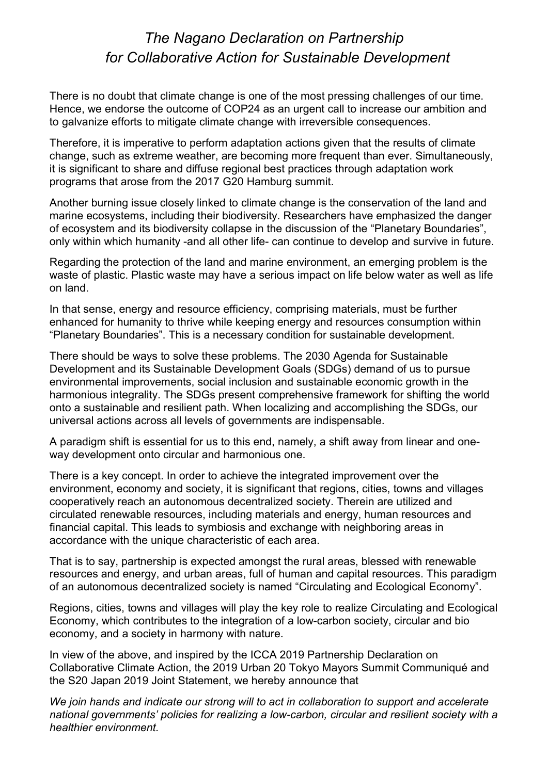## The Nagano Declaration on Partnership for Collaborative Action for Sustainable Development

There is no doubt that climate change is one of the most pressing challenges of our time. Hence, we endorse the outcome of COP24 as an urgent call to increase our ambition and to galvanize efforts to mitigate climate change with irreversible consequences.

Therefore, it is imperative to perform adaptation actions given that the results of climate change, such as extreme weather, are becoming more frequent than ever. Simultaneously, it is significant to share and diffuse regional best practices through adaptation work programs that arose from the 2017 G20 Hamburg summit.

Another burning issue closely linked to climate change is the conservation of the land and marine ecosystems, including their biodiversity. Researchers have emphasized the danger of ecosystem and its biodiversity collapse in the discussion of the "Planetary Boundaries", only within which humanity -and all other life- can continue to develop and survive in future.

Regarding the protection of the land and marine environment, an emerging problem is the waste of plastic. Plastic waste may have a serious impact on life below water as well as life on land.

In that sense, energy and resource efficiency, comprising materials, must be further enhanced for humanity to thrive while keeping energy and resources consumption within "Planetary Boundaries". This is a necessary condition for sustainable development.

There should be ways to solve these problems. The 2030 Agenda for Sustainable Development and its Sustainable Development Goals (SDGs) demand of us to pursue environmental improvements, social inclusion and sustainable economic growth in the harmonious integrality. The SDGs present comprehensive framework for shifting the world onto a sustainable and resilient path. When localizing and accomplishing the SDGs, our universal actions across all levels of governments are indispensable.

A paradigm shift is essential for us to this end, namely, a shift away from linear and oneway development onto circular and harmonious one.

There is a key concept. In order to achieve the integrated improvement over the environment, economy and society, it is significant that regions, cities, towns and villages cooperatively reach an autonomous decentralized society. Therein are utilized and circulated renewable resources, including materials and energy, human resources and financial capital. This leads to symbiosis and exchange with neighboring areas in accordance with the unique characteristic of each area.

That is to say, partnership is expected amongst the rural areas, blessed with renewable resources and energy, and urban areas, full of human and capital resources. This paradigm of an autonomous decentralized society is named "Circulating and Ecological Economy".

Regions, cities, towns and villages will play the key role to realize Circulating and Ecological Economy, which contributes to the integration of a low-carbon society, circular and bio economy, and a society in harmony with nature.

In view of the above, and inspired by the ICCA 2019 Partnership Declaration on Collaborative Climate Action, the 2019 Urban 20 Tokyo Mayors Summit Communiqué and the S20 Japan 2019 Joint Statement, we hereby announce that

We join hands and indicate our strong will to act in collaboration to support and accelerate national governments' policies for realizing a low-carbon, circular and resilient society with a healthier environment.